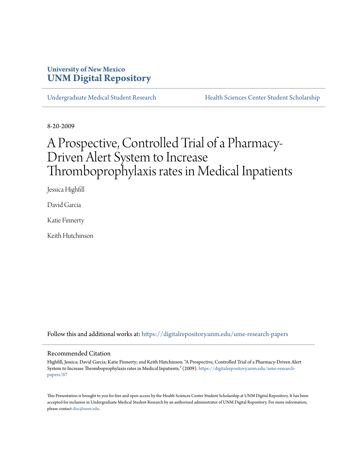## **University of New Mexico [UNM Digital Repository](https://digitalrepository.unm.edu?utm_source=digitalrepository.unm.edu%2Fume-research-papers%2F67&utm_medium=PDF&utm_campaign=PDFCoverPages)**

[Undergraduate Medical Student Research](https://digitalrepository.unm.edu/ume-research-papers?utm_source=digitalrepository.unm.edu%2Fume-research-papers%2F67&utm_medium=PDF&utm_campaign=PDFCoverPages) [Health Sciences Center Student Scholarship](https://digitalrepository.unm.edu/hsc-students?utm_source=digitalrepository.unm.edu%2Fume-research-papers%2F67&utm_medium=PDF&utm_campaign=PDFCoverPages)

8-20-2009

# A Prospective, Controlled Trial of a Pharmacy-Driven Alert System to Increase Thromboprophylaxis rates in Medical Inpatients

Jessica Highfill

David Garcia

Katie Finnerty

Keith Hutchinson

Follow this and additional works at: [https://digitalrepository.unm.edu/ume-research-papers](https://digitalrepository.unm.edu/ume-research-papers?utm_source=digitalrepository.unm.edu%2Fume-research-papers%2F67&utm_medium=PDF&utm_campaign=PDFCoverPages)

#### Recommended Citation

Highfill, Jessica; David Garcia; Katie Finnerty; and Keith Hutchinson. "A Prospective, Controlled Trial of a Pharmacy-Driven Alert System to Increase Thromboprophylaxis rates in Medical Inpatients." (2009). [https://digitalrepository.unm.edu/ume-research](https://digitalrepository.unm.edu/ume-research-papers/67?utm_source=digitalrepository.unm.edu%2Fume-research-papers%2F67&utm_medium=PDF&utm_campaign=PDFCoverPages)[papers/67](https://digitalrepository.unm.edu/ume-research-papers/67?utm_source=digitalrepository.unm.edu%2Fume-research-papers%2F67&utm_medium=PDF&utm_campaign=PDFCoverPages)

This Presentation is brought to you for free and open access by the Health Sciences Center Student Scholarship at UNM Digital Repository. It has been accepted for inclusion in Undergraduate Medical Student Research by an authorized administrator of UNM Digital Repository. For more information, please contact [disc@unm.edu.](mailto:disc@unm.edu)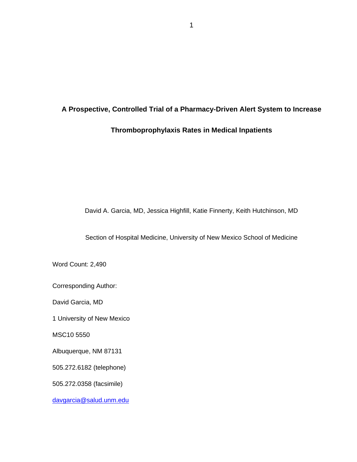## **A Prospective, Controlled Trial of a Pharmacy-Driven Alert System to Increase**

## **Thromboprophylaxis Rates in Medical Inpatients**

David A. Garcia, MD, Jessica Highfill, Katie Finnerty, Keith Hutchinson, MD

Section of Hospital Medicine, University of New Mexico School of Medicine

Word Count: 2,490

Corresponding Author:

David Garcia, MD

1 University of New Mexico

MSC10 5550

Albuquerque, NM 87131

505.272.6182 (telephone)

505.272.0358 (facsimile)

[davgarcia@salud.unm.edu](mailto:davgarcia@salud.unm.edu)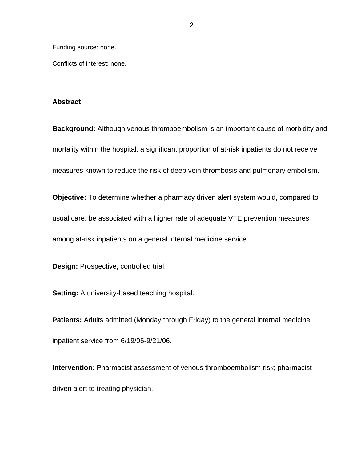Funding source: none.

Conflicts of interest: none.

#### **Abstract**

**Background:** Although venous thromboembolism is an important cause of morbidity and mortality within the hospital, a significant proportion of at-risk inpatients do not receive measures known to reduce the risk of deep vein thrombosis and pulmonary embolism.

**Objective:** To determine whether a pharmacy driven alert system would, compared to usual care, be associated with a higher rate of adequate VTE prevention measures among at-risk inpatients on a general internal medicine service.

**Design:** Prospective, controlled trial.

**Setting:** A university-based teaching hospital.

**Patients:** Adults admitted (Monday through Friday) to the general internal medicine inpatient service from 6/19/06-9/21/06.

**Intervention:** Pharmacist assessment of venous thromboembolism risk; pharmacistdriven alert to treating physician.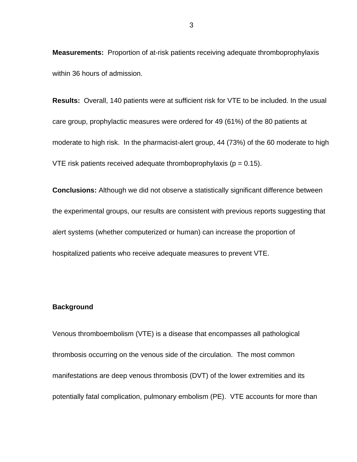**Measurements:** Proportion of at-risk patients receiving adequate thromboprophylaxis within 36 hours of admission.

**Results:** Overall, 140 patients were at sufficient risk for VTE to be included. In the usual care group, prophylactic measures were ordered for 49 (61%) of the 80 patients at moderate to high risk. In the pharmacist-alert group, 44 (73%) of the 60 moderate to high VTE risk patients received adequate thromboprophylaxis ( $p = 0.15$ ).

**Conclusions:** Although we did not observe a statistically significant difference between the experimental groups, our results are consistent with previous reports suggesting that alert systems (whether computerized or human) can increase the proportion of hospitalized patients who receive adequate measures to prevent VTE.

#### **Background**

Venous thromboembolism (VTE) is a disease that encompasses all pathological thrombosis occurring on the venous side of the circulation. The most common manifestations are deep venous thrombosis (DVT) of the lower extremities and its potentially fatal complication, pulmonary embolism (PE). VTE accounts for more than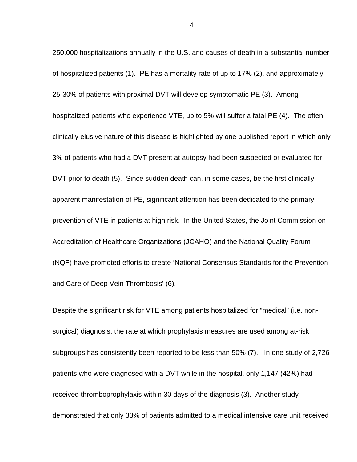250,000 hospitalizations annually in the U.S. and causes of death in a substantial number of hospitalized patients (1). PE has a mortality rate of up to 17% (2), and approximately 25-30% of patients with proximal DVT will develop symptomatic PE (3). Among hospitalized patients who experience VTE, up to 5% will suffer a fatal PE (4). The often clinically elusive nature of this disease is highlighted by one published report in which only 3% of patients who had a DVT present at autopsy had been suspected or evaluated for DVT prior to death (5). Since sudden death can, in some cases, be the first clinically apparent manifestation of PE, significant attention has been dedicated to the primary prevention of VTE in patients at high risk. In the United States, the Joint Commission on Accreditation of Healthcare Organizations (JCAHO) and the National Quality Forum (NQF) have promoted efforts to create 'National Consensus Standards for the Prevention and Care of Deep Vein Thrombosis' (6).

Despite the significant risk for VTE among patients hospitalized for "medical" (i.e. nonsurgical) diagnosis, the rate at which prophylaxis measures are used among at-risk subgroups has consistently been reported to be less than 50% (7). In one study of 2,726 patients who were diagnosed with a DVT while in the hospital, only 1,147 (42%) had received thromboprophylaxis within 30 days of the diagnosis (3). Another study demonstrated that only 33% of patients admitted to a medical intensive care unit received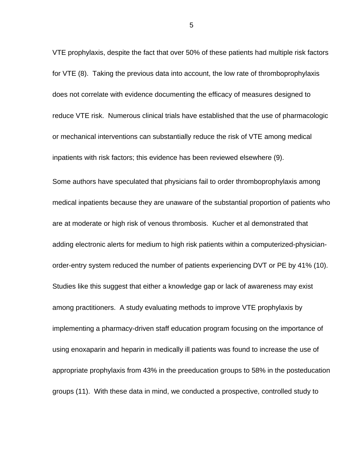VTE prophylaxis, despite the fact that over 50% of these patients had multiple risk factors for VTE (8). Taking the previous data into account, the low rate of thromboprophylaxis does not correlate with evidence documenting the efficacy of measures designed to reduce VTE risk. Numerous clinical trials have established that the use of pharmacologic or mechanical interventions can substantially reduce the risk of VTE among medical inpatients with risk factors; this evidence has been reviewed elsewhere (9).

Some authors have speculated that physicians fail to order thromboprophylaxis among medical inpatients because they are unaware of the substantial proportion of patients who are at moderate or high risk of venous thrombosis. Kucher et al demonstrated that adding electronic alerts for medium to high risk patients within a computerized-physicianorder-entry system reduced the number of patients experiencing DVT or PE by 41% (10). Studies like this suggest that either a knowledge gap or lack of awareness may exist among practitioners. A study evaluating methods to improve VTE prophylaxis by implementing a pharmacy-driven staff education program focusing on the importance of using enoxaparin and heparin in medically ill patients was found to increase the use of appropriate prophylaxis from 43% in the preeducation groups to 58% in the posteducation groups (11). With these data in mind, we conducted a prospective, controlled study to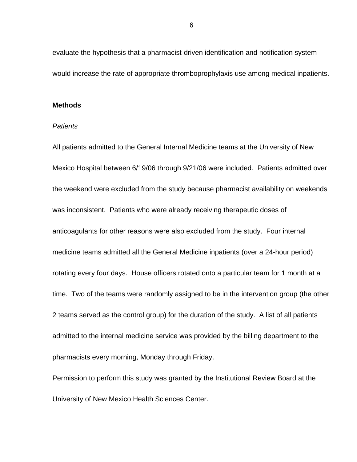evaluate the hypothesis that a pharmacist-driven identification and notification system would increase the rate of appropriate thromboprophylaxis use among medical inpatients.

#### **Methods**

#### *Patients*

All patients admitted to the General Internal Medicine teams at the University of New Mexico Hospital between 6/19/06 through 9/21/06 were included. Patients admitted over the weekend were excluded from the study because pharmacist availability on weekends was inconsistent. Patients who were already receiving therapeutic doses of anticoagulants for other reasons were also excluded from the study. Four internal medicine teams admitted all the General Medicine inpatients (over a 24-hour period) rotating every four days. House officers rotated onto a particular team for 1 month at a time. Two of the teams were randomly assigned to be in the intervention group (the other 2 teams served as the control group) for the duration of the study. A list of all patients admitted to the internal medicine service was provided by the billing department to the pharmacists every morning, Monday through Friday.

Permission to perform this study was granted by the Institutional Review Board at the University of New Mexico Health Sciences Center.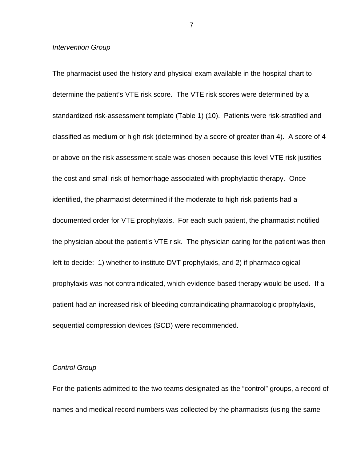#### *Intervention Group*

The pharmacist used the history and physical exam available in the hospital chart to determine the patient's VTE risk score. The VTE risk scores were determined by a standardized risk-assessment template (Table 1) (10). Patients were risk-stratified and classified as medium or high risk (determined by a score of greater than 4). A score of 4 or above on the risk assessment scale was chosen because this level VTE risk justifies the cost and small risk of hemorrhage associated with prophylactic therapy. Once identified, the pharmacist determined if the moderate to high risk patients had a documented order for VTE prophylaxis. For each such patient, the pharmacist notified the physician about the patient's VTE risk. The physician caring for the patient was then left to decide: 1) whether to institute DVT prophylaxis, and 2) if pharmacological prophylaxis was not contraindicated, which evidence-based therapy would be used. If a patient had an increased risk of bleeding contraindicating pharmacologic prophylaxis, sequential compression devices (SCD) were recommended.

#### *Control Group*

For the patients admitted to the two teams designated as the "control" groups, a record of names and medical record numbers was collected by the pharmacists (using the same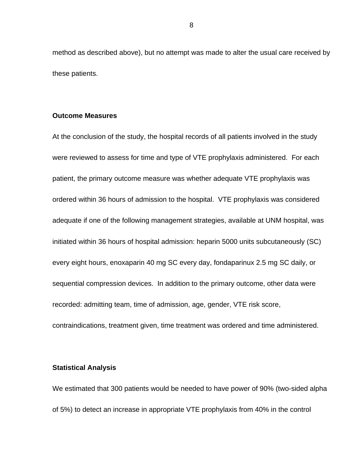method as described above), but no attempt was made to alter the usual care received by these patients.

### **Outcome Measures**

At the conclusion of the study, the hospital records of all patients involved in the study were reviewed to assess for time and type of VTE prophylaxis administered. For each patient, the primary outcome measure was whether adequate VTE prophylaxis was ordered within 36 hours of admission to the hospital. VTE prophylaxis was considered adequate if one of the following management strategies, available at UNM hospital, was initiated within 36 hours of hospital admission: heparin 5000 units subcutaneously (SC) every eight hours, enoxaparin 40 mg SC every day, fondaparinux 2.5 mg SC daily, or sequential compression devices. In addition to the primary outcome, other data were recorded: admitting team, time of admission, age, gender, VTE risk score, contraindications, treatment given, time treatment was ordered and time administered.

#### **Statistical Analysis**

We estimated that 300 patients would be needed to have power of 90% (two-sided alpha of 5%) to detect an increase in appropriate VTE prophylaxis from 40% in the control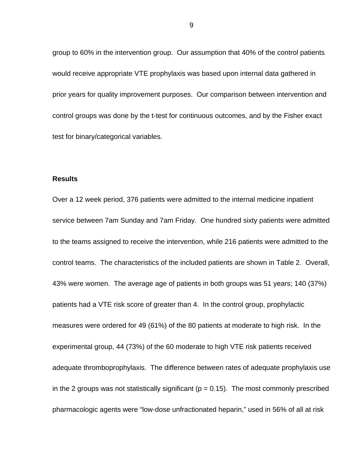group to 60% in the intervention group. Our assumption that 40% of the control patients would receive appropriate VTE prophylaxis was based upon internal data gathered in prior years for quality improvement purposes. Our comparison between intervention and control groups was done by the t-test for continuous outcomes, and by the Fisher exact test for binary/categorical variables.

#### **Results**

Over a 12 week period, 376 patients were admitted to the internal medicine inpatient service between 7am Sunday and 7am Friday. One hundred sixty patients were admitted to the teams assigned to receive the intervention, while 216 patients were admitted to the control teams. The characteristics of the included patients are shown in Table 2. Overall, 43% were women. The average age of patients in both groups was 51 years; 140 (37%) patients had a VTE risk score of greater than 4. In the control group, prophylactic measures were ordered for 49 (61%) of the 80 patients at moderate to high risk. In the experimental group, 44 (73%) of the 60 moderate to high VTE risk patients received adequate thromboprophylaxis. The difference between rates of adequate prophylaxis use in the 2 groups was not statistically significant ( $p = 0.15$ ). The most commonly prescribed pharmacologic agents were "low-dose unfractionated heparin," used in 56% of all at risk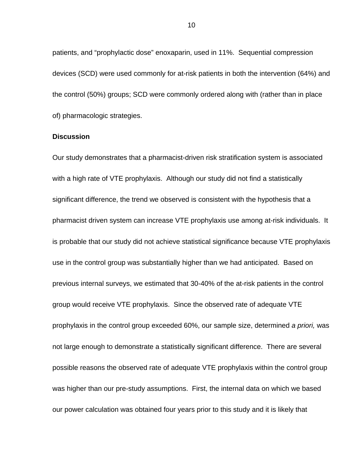patients, and "prophylactic dose" enoxaparin, used in 11%. Sequential compression devices (SCD) were used commonly for at-risk patients in both the intervention (64%) and the control (50%) groups; SCD were commonly ordered along with (rather than in place of) pharmacologic strategies.

#### **Discussion**

Our study demonstrates that a pharmacist-driven risk stratification system is associated with a high rate of VTE prophylaxis. Although our study did not find a statistically significant difference, the trend we observed is consistent with the hypothesis that a pharmacist driven system can increase VTE prophylaxis use among at-risk individuals. It is probable that our study did not achieve statistical significance because VTE prophylaxis use in the control group was substantially higher than we had anticipated. Based on previous internal surveys, we estimated that 30-40% of the at-risk patients in the control group would receive VTE prophylaxis. Since the observed rate of adequate VTE prophylaxis in the control group exceeded 60%, our sample size, determined *a priori,* was not large enough to demonstrate a statistically significant difference. There are several possible reasons the observed rate of adequate VTE prophylaxis within the control group was higher than our pre-study assumptions. First, the internal data on which we based our power calculation was obtained four years prior to this study and it is likely that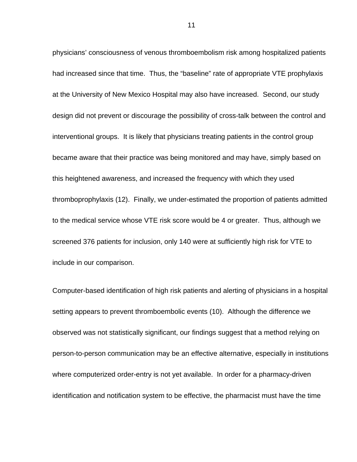physicians' consciousness of venous thromboembolism risk among hospitalized patients had increased since that time. Thus, the "baseline" rate of appropriate VTE prophylaxis at the University of New Mexico Hospital may also have increased. Second, our study design did not prevent or discourage the possibility of cross-talk between the control and interventional groups. It is likely that physicians treating patients in the control group became aware that their practice was being monitored and may have, simply based on this heightened awareness, and increased the frequency with which they used thromboprophylaxis (12). Finally, we under-estimated the proportion of patients admitted to the medical service whose VTE risk score would be 4 or greater. Thus, although we screened 376 patients for inclusion, only 140 were at sufficiently high risk for VTE to include in our comparison.

Computer-based identification of high risk patients and alerting of physicians in a hospital setting appears to prevent thromboembolic events (10). Although the difference we observed was not statistically significant, our findings suggest that a method relying on person-to-person communication may be an effective alternative, especially in institutions where computerized order-entry is not yet available. In order for a pharmacy-driven identification and notification system to be effective, the pharmacist must have the time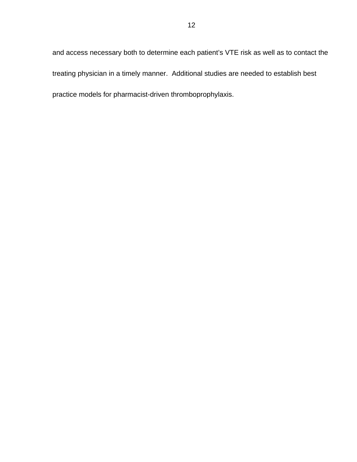and access necessary both to determine each patient's VTE risk as well as to contact the treating physician in a timely manner. Additional studies are needed to establish best practice models for pharmacist-driven thromboprophylaxis.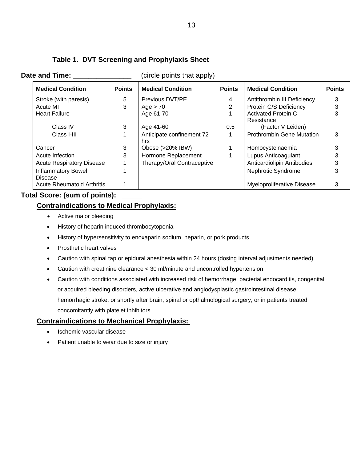| <b>Medical Condition</b>                    | <b>Points</b> | <b>Medical Condition</b>         | <b>Points</b> | <b>Medical Condition</b>                 | <b>Points</b> |  |
|---------------------------------------------|---------------|----------------------------------|---------------|------------------------------------------|---------------|--|
| Stroke (with paresis)                       | 5             | Previous DVT/PE                  | 4             | Antithrombin III Deficiency              | 3             |  |
| Acute MI                                    | 3             | Age $> 70$                       |               | Protein C/S Deficiency                   | 3             |  |
| <b>Heart Failure</b>                        |               | Age 61-70                        |               | <b>Activated Protein C</b><br>Resistance |               |  |
| Class IV                                    | 3             | Age 41-60                        | 0.5           | (Factor V Leiden)                        |               |  |
| Class I-III                                 |               | Anticipate confinement 72<br>hrs |               | <b>Prothrombin Gene Mutation</b>         | 3             |  |
| Cancer                                      | 3             | Obese (>20% IBW)                 |               | Homocysteinaemia                         |               |  |
| Acute Infection                             | 3             | Hormone Replacement              |               | Lupus Anticoagulant                      | 3             |  |
| <b>Acute Respiratory Disease</b>            |               | Therapy/Oral Contraceptive       |               | Anticardiolipin Antibodies               | 3             |  |
| <b>Inflammatory Bowel</b><br><b>Disease</b> |               |                                  |               | Nephrotic Syndrome                       | 3             |  |
| <b>Acute Rheumatoid Arthritis</b>           |               |                                  |               | Myeloproliferative Disease               | 3             |  |

## **Table 1. DVT Screening and Prophylaxis Sheet**

**Date and Time:**  $\qquad (circle points that apply)$ 

## **Total Score: (sum of points): \_\_\_\_\_**

## **Contraindications to Medical Prophylaxis:**

- Active major bleeding
- History of heparin induced thrombocytopenia
- History of hypersensitivity to enoxaparin sodium, heparin, or pork products
- Prosthetic heart valves
- Caution with spinal tap or epidural anesthesia within 24 hours (dosing interval adjustments needed)
- Caution with creatinine clearance < 30 ml/minute and uncontrolled hypertension
- Caution with conditions associated with increased risk of hemorrhage; bacterial endocarditis, congenital or acquired bleeding disorders, active ulcerative and angiodysplastic gastrointestinal disease, hemorrhagic stroke, or shortly after brain, spinal or opthalmological surgery, or in patients treated concomitantly with platelet inhibitors

## **Contraindications to Mechanical Prophylaxis:**

- Ischemic vascular disease
- Patient unable to wear due to size or injury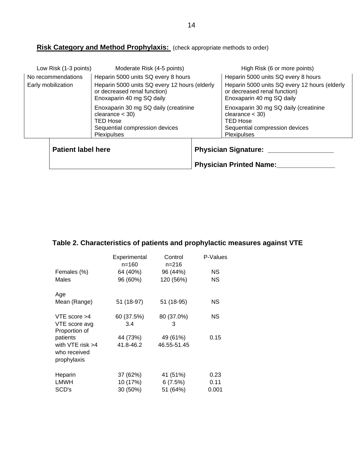# **Risk Category and Method Prophylaxis:** (check appropriate methods to order)

| Low Risk (1-3 points)                    | Moderate Risk (4-5 points)                                                                                                                        |  | High Risk (6 or more points)                                                                                                                      |  |  |
|------------------------------------------|---------------------------------------------------------------------------------------------------------------------------------------------------|--|---------------------------------------------------------------------------------------------------------------------------------------------------|--|--|
| No recommendations<br>Early mobilization | Heparin 5000 units SQ every 8 hours<br>Heparin 5000 units SQ every 12 hours (elderly<br>or decreased renal function)<br>Enoxaparin 40 mg SQ daily |  | Heparin 5000 units SQ every 8 hours<br>Heparin 5000 units SQ every 12 hours (elderly<br>or decreased renal function)<br>Enoxaparin 40 mg SQ daily |  |  |
|                                          | Enoxaparin 30 mg SQ daily (creatinine<br>$clearance < 30$ )<br><b>TED Hose</b><br>Sequential compression devices<br>Plexipulses                   |  | Enoxaparin 30 mg SQ daily (creatinine<br>clearance $<$ 30)<br><b>TED Hose</b><br>Sequential compression devices<br>Plexipulses                    |  |  |
| <b>Patient label here</b>                |                                                                                                                                                   |  | <b>Physician Signature:</b><br><b>Physician Printed Name:</b>                                                                                     |  |  |

# **Table 2. Characteristics of patients and prophylactic measures against VTE**

|                                                     | Experimental<br>$n = 160$ | Control<br>$n = 216$ | P-Values  |
|-----------------------------------------------------|---------------------------|----------------------|-----------|
| Females (%)                                         | 64 (40%)                  | 96 (44%)             | ΝS        |
| Males                                               | 96 (60%)                  | 120 (56%)            | <b>NS</b> |
| Age                                                 |                           |                      |           |
| Mean (Range)                                        | 51 (18-97)                | 51 (18-95)           | ΝS        |
| VTE score $>4$                                      | 60 (37.5%)                | 80 (37.0%)           | ΝS        |
| VTE score avg<br>Proportion of                      | 3.4                       | 3                    |           |
| patients                                            | 44 (73%)                  | 49 (61%)             | 0.15      |
| with $VTE$ risk $>4$<br>who received<br>prophylaxis | 41.8-46.2                 | 46.55-51.45          |           |
| Heparin                                             | 37 (62%)                  | 41 (51%)             | 0.23      |
| <b>LMWH</b>                                         | 10 (17%)                  | 6(7.5%)              | 0.11      |
| SCD's                                               | 30 (50%)                  | 51 (64%)             | 0.001     |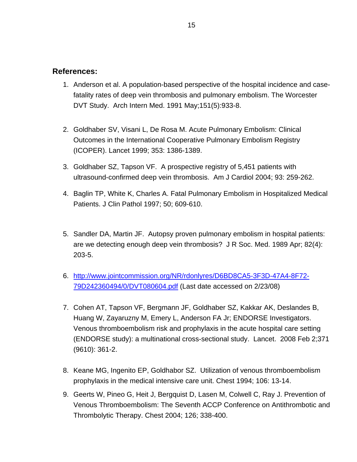## **References:**

- 1. Anderson et al. A population-based perspective of the hospital incidence and casefatality rates of deep vein thrombosis and pulmonary embolism. The Worcester DVT Study. Arch Intern Med. 1991 May;151(5):933-8.
- 2. Goldhaber SV, Visani L, De Rosa M. Acute Pulmonary Embolism: Clinical Outcomes in the International Cooperative Pulmonary Embolism Registry (ICOPER). Lancet 1999; 353: 1386-1389.
- 3. Goldhaber SZ, Tapson VF. A prospective registry of 5,451 patients with ultrasound-confirmed deep vein thrombosis. Am J Cardiol 2004; 93: 259-262.
- 4. Baglin TP, White K, Charles A. Fatal Pulmonary Embolism in Hospitalized Medical Patients. J Clin Pathol 1997; 50; 609-610.
- 5. Sandler DA, Martin JF. Autopsy proven pulmonary embolism in hospital patients: are we detecting enough deep vein thrombosis? J R Soc. Med. 1989 Apr; 82(4): 203-5.
- 6. [http://www.jointcommission.org/NR/rdonlyres/D6BD8CA5-3F3D-47A4-8F72-](http://www.jointcommission.org/NR/rdonlyres/D6BD8CA5-3F3D-47A4-8F72-79D242360494/0/DVT080604.pdf) [79D242360494/0/DVT080604.pdf](http://www.jointcommission.org/NR/rdonlyres/D6BD8CA5-3F3D-47A4-8F72-79D242360494/0/DVT080604.pdf) (Last date accessed on 2/23/08)
- 7. Cohen AT, Tapson VF, Bergmann JF, Goldhaber SZ, Kakkar AK, Deslandes B, Huang W, Zayaruzny M, Emery L, Anderson FA Jr; ENDORSE Investigators. Venous thromboembolism risk and prophylaxis in the acute hospital care setting (ENDORSE study): a multinational cross-sectional study. Lancet. 2008 Feb 2;371 (9610): 361-2.
- 8. Keane MG, Ingenito EP, Goldhabor SZ. Utilization of venous thromboembolism prophylaxis in the medical intensive care unit. Chest 1994; 106: 13-14.
- 9. Geerts W, Pineo G, Heit J, Bergquist D, Lasen M, Colwell C, Ray J. Prevention of Venous Thromboembolism: The Seventh ACCP Conference on Antithrombotic and Thrombolytic Therapy. Chest 2004; 126; 338-400.